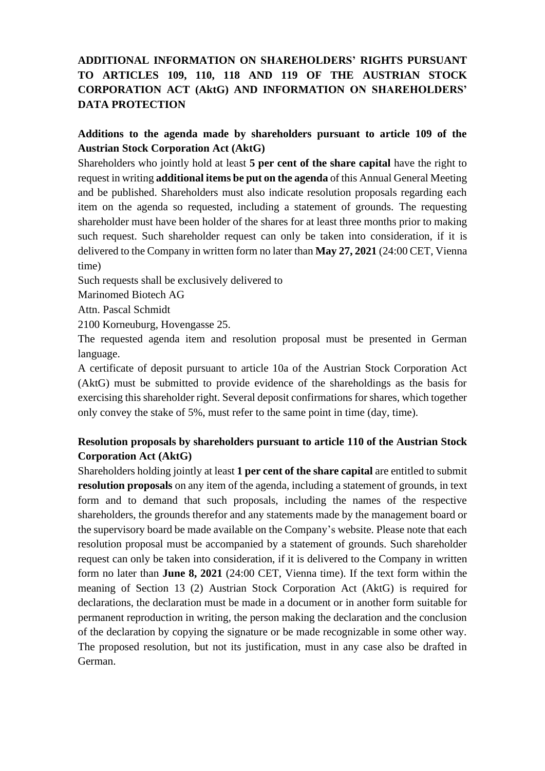# **ADDITIONAL INFORMATION ON SHAREHOLDERS' RIGHTS PURSUANT TO ARTICLES 109, 110, 118 AND 119 OF THE AUSTRIAN STOCK CORPORATION ACT (AktG) AND INFORMATION ON SHAREHOLDERS' DATA PROTECTION**

## **Additions to the agenda made by shareholders pursuant to article 109 of the Austrian Stock Corporation Act (AktG)**

Shareholders who jointly hold at least **5 per cent of the share capital** have the right to request in writing **additional items be put on the agenda** of this Annual General Meeting and be published. Shareholders must also indicate resolution proposals regarding each item on the agenda so requested, including a statement of grounds. The requesting shareholder must have been holder of the shares for at least three months prior to making such request. Such shareholder request can only be taken into consideration, if it is delivered to the Company in written form no later than **May 27, 2021** (24:00 CET, Vienna time)

Such requests shall be exclusively delivered to

Marinomed Biotech AG

Attn. Pascal Schmidt

2100 Korneuburg, Hovengasse 25.

The requested agenda item and resolution proposal must be presented in German language.

A certificate of deposit pursuant to article 10a of the Austrian Stock Corporation Act (AktG) must be submitted to provide evidence of the shareholdings as the basis for exercising this shareholder right. Several deposit confirmations for shares, which together only convey the stake of 5%, must refer to the same point in time (day, time).

## **Resolution proposals by shareholders pursuant to article 110 of the Austrian Stock Corporation Act (AktG)**

Shareholders holding jointly at least **1 per cent of the share capital** are entitled to submit **resolution proposals** on any item of the agenda, including a statement of grounds, in text form and to demand that such proposals, including the names of the respective shareholders, the grounds therefor and any statements made by the management board or the supervisory board be made available on the Company's website. Please note that each resolution proposal must be accompanied by a statement of grounds. Such shareholder request can only be taken into consideration, if it is delivered to the Company in written form no later than **June 8, 2021** (24:00 CET, Vienna time). If the text form within the meaning of Section 13 (2) Austrian Stock Corporation Act (AktG) is required for declarations, the declaration must be made in a document or in another form suitable for permanent reproduction in writing, the person making the declaration and the conclusion of the declaration by copying the signature or be made recognizable in some other way. The proposed resolution, but not its justification, must in any case also be drafted in German.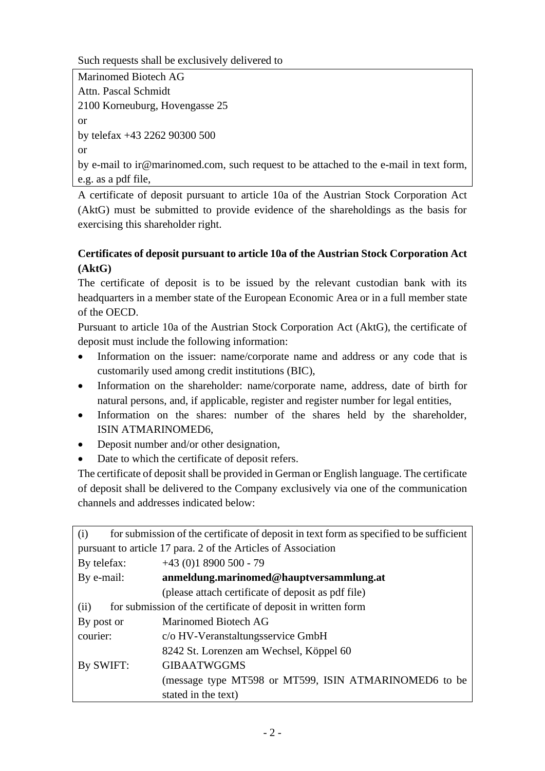Such requests shall be exclusively delivered to

```
Marinomed Biotech AG
Attn. Pascal Schmidt
2100 Korneuburg, Hovengasse 25
or
by telefax +43 2262 90300 500
or
```
by e-mail to ir@marinomed.com, such request to be attached to the e-mail in text form, e.g. as a pdf file,

A certificate of deposit pursuant to article 10a of the Austrian Stock Corporation Act (AktG) must be submitted to provide evidence of the shareholdings as the basis for exercising this shareholder right.

# **Certificates of deposit pursuant to article 10a of the Austrian Stock Corporation Act (AktG)**

The certificate of deposit is to be issued by the relevant custodian bank with its headquarters in a member state of the European Economic Area or in a full member state of the OECD.

Pursuant to article 10a of the Austrian Stock Corporation Act (AktG), the certificate of deposit must include the following information:

- Information on the issuer: name/corporate name and address or any code that is customarily used among credit institutions (BIC),
- Information on the shareholder: name/corporate name, address, date of birth for natural persons, and, if applicable, register and register number for legal entities,
- Information on the shares: number of the shares held by the shareholder, ISIN ATMARINOMED6,
- Deposit number and/or other designation,
- Date to which the certificate of deposit refers.

The certificate of deposit shall be provided in German or English language. The certificate of deposit shall be delivered to the Company exclusively via one of the communication channels and addresses indicated below:

| (i)                                                                  | for submission of the certificate of deposit in text form as specified to be sufficient |
|----------------------------------------------------------------------|-----------------------------------------------------------------------------------------|
| pursuant to article 17 para. 2 of the Articles of Association        |                                                                                         |
| By telefax:                                                          | $+43(0)18900500 - 79$                                                                   |
| By e-mail:                                                           | anmeldung.marinomed@hauptversammlung.at                                                 |
|                                                                      | (please attach certificate of deposit as pdf file)                                      |
| for submission of the certificate of deposit in written form<br>(ii) |                                                                                         |
| By post or                                                           | <b>Marinomed Biotech AG</b>                                                             |
| courier:                                                             | c/o HV-Veranstaltungsservice GmbH                                                       |
|                                                                      | 8242 St. Lorenzen am Wechsel, Köppel 60                                                 |
| By SWIFT:                                                            | <b>GIBAATWGGMS</b>                                                                      |
|                                                                      | (message type MT598 or MT599, ISIN ATMARINOMED6 to be                                   |
|                                                                      | stated in the text)                                                                     |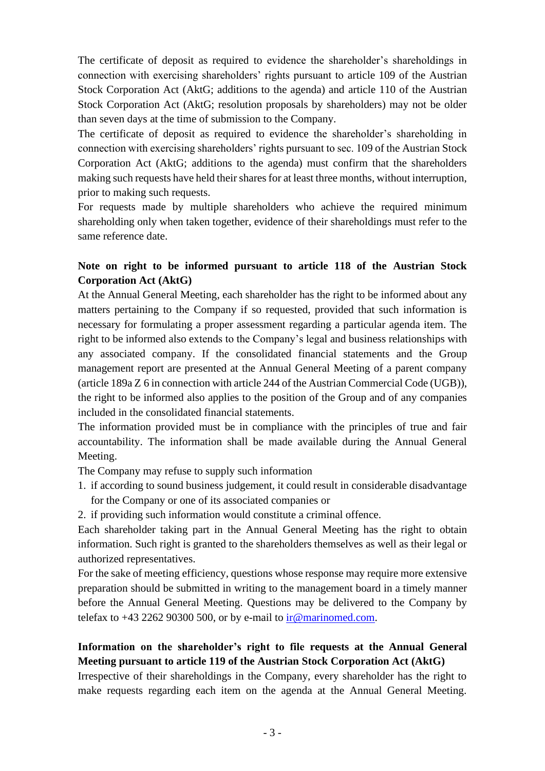The certificate of deposit as required to evidence the shareholder's shareholdings in connection with exercising shareholders' rights pursuant to article 109 of the Austrian Stock Corporation Act (AktG; additions to the agenda) and article 110 of the Austrian Stock Corporation Act (AktG; resolution proposals by shareholders) may not be older than seven days at the time of submission to the Company.

The certificate of deposit as required to evidence the shareholder's shareholding in connection with exercising shareholders' rights pursuant to sec. 109 of the Austrian Stock Corporation Act (AktG; additions to the agenda) must confirm that the shareholders making such requests have held their shares for at least three months, without interruption, prior to making such requests.

For requests made by multiple shareholders who achieve the required minimum shareholding only when taken together, evidence of their shareholdings must refer to the same reference date.

## **Note on right to be informed pursuant to article 118 of the Austrian Stock Corporation Act (AktG)**

At the Annual General Meeting, each shareholder has the right to be informed about any matters pertaining to the Company if so requested, provided that such information is necessary for formulating a proper assessment regarding a particular agenda item. The right to be informed also extends to the Company's legal and business relationships with any associated company. If the consolidated financial statements and the Group management report are presented at the Annual General Meeting of a parent company (article 189a Z 6 in connection with article 244 of the Austrian Commercial Code (UGB)), the right to be informed also applies to the position of the Group and of any companies included in the consolidated financial statements.

The information provided must be in compliance with the principles of true and fair accountability. The information shall be made available during the Annual General Meeting.

The Company may refuse to supply such information

- 1. if according to sound business judgement, it could result in considerable disadvantage for the Company or one of its associated companies or
- 2. if providing such information would constitute a criminal offence.

Each shareholder taking part in the Annual General Meeting has the right to obtain information. Such right is granted to the shareholders themselves as well as their legal or authorized representatives.

For the sake of meeting efficiency, questions whose response may require more extensive preparation should be submitted in writing to the management board in a timely manner before the Annual General Meeting. Questions may be delivered to the Company by telefax to  $+43$  2262 90300 500, or by e-mail to ir $@$  marinomed.com.

# **Information on the shareholder's right to file requests at the Annual General Meeting pursuant to article 119 of the Austrian Stock Corporation Act (AktG)**

Irrespective of their shareholdings in the Company, every shareholder has the right to make requests regarding each item on the agenda at the Annual General Meeting.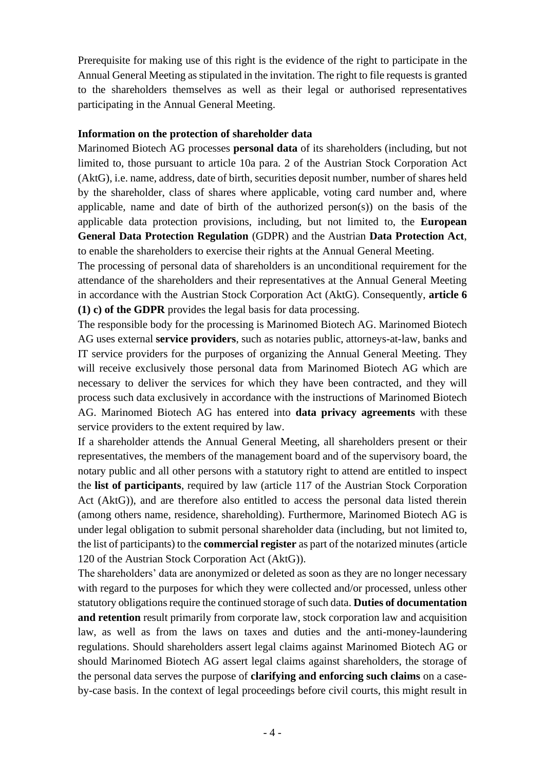Prerequisite for making use of this right is the evidence of the right to participate in the Annual General Meeting as stipulated in the invitation. The right to file requests is granted to the shareholders themselves as well as their legal or authorised representatives participating in the Annual General Meeting.

#### **Information on the protection of shareholder data**

Marinomed Biotech AG processes **personal data** of its shareholders (including, but not limited to, those pursuant to article 10a para. 2 of the Austrian Stock Corporation Act (AktG), i.e. name, address, date of birth, securities deposit number, number of shares held by the shareholder, class of shares where applicable, voting card number and, where applicable, name and date of birth of the authorized person(s)) on the basis of the applicable data protection provisions, including, but not limited to, the **European General Data Protection Regulation** (GDPR) and the Austrian **Data Protection Act**, to enable the shareholders to exercise their rights at the Annual General Meeting.

The processing of personal data of shareholders is an unconditional requirement for the attendance of the shareholders and their representatives at the Annual General Meeting in accordance with the Austrian Stock Corporation Act (AktG). Consequently, **article 6 (1) c) of the GDPR** provides the legal basis for data processing.

The responsible body for the processing is Marinomed Biotech AG. Marinomed Biotech AG uses external **service providers**, such as notaries public, attorneys-at-law, banks and IT service providers for the purposes of organizing the Annual General Meeting. They will receive exclusively those personal data from Marinomed Biotech AG which are necessary to deliver the services for which they have been contracted, and they will process such data exclusively in accordance with the instructions of Marinomed Biotech AG. Marinomed Biotech AG has entered into **data privacy agreements** with these service providers to the extent required by law.

If a shareholder attends the Annual General Meeting, all shareholders present or their representatives, the members of the management board and of the supervisory board, the notary public and all other persons with a statutory right to attend are entitled to inspect the **list of participants**, required by law (article 117 of the Austrian Stock Corporation Act (AktG)), and are therefore also entitled to access the personal data listed therein (among others name, residence, shareholding). Furthermore, Marinomed Biotech AG is under legal obligation to submit personal shareholder data (including, but not limited to, the list of participants) to the **commercial register** as part of the notarized minutes (article 120 of the Austrian Stock Corporation Act (AktG)).

The shareholders' data are anonymized or deleted as soon as they are no longer necessary with regard to the purposes for which they were collected and/or processed, unless other statutory obligations require the continued storage of such data. **Duties of documentation and retention** result primarily from corporate law, stock corporation law and acquisition law, as well as from the laws on taxes and duties and the anti-money-laundering regulations. Should shareholders assert legal claims against Marinomed Biotech AG or should Marinomed Biotech AG assert legal claims against shareholders, the storage of the personal data serves the purpose of **clarifying and enforcing such claims** on a caseby-case basis. In the context of legal proceedings before civil courts, this might result in